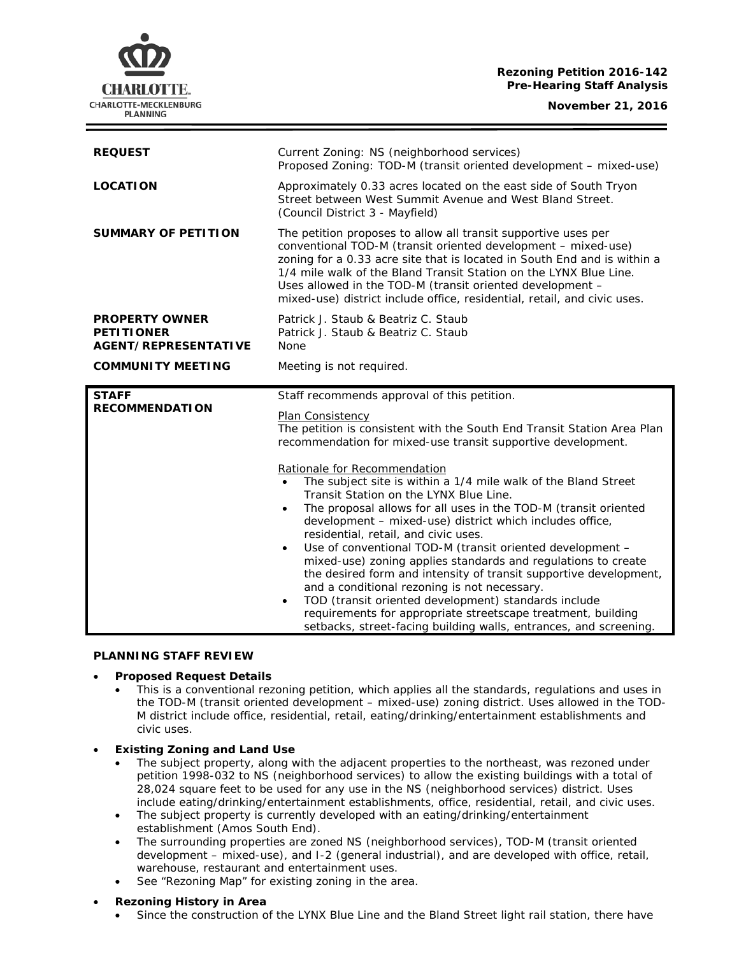# **Rezoning Petition 2016-142 Pre-Hearing Staff Analysis**

**November 21, 2016**



| <b>REQUEST</b>                                                            | Current Zoning: NS (neighborhood services)<br>Proposed Zoning: TOD-M (transit oriented development - mixed-use)                                                                                                                                                                                                                                                                                                                                                                                                                                                                                                                                                                                                                                                                                                                                                                                                                                                                                                                   |
|---------------------------------------------------------------------------|-----------------------------------------------------------------------------------------------------------------------------------------------------------------------------------------------------------------------------------------------------------------------------------------------------------------------------------------------------------------------------------------------------------------------------------------------------------------------------------------------------------------------------------------------------------------------------------------------------------------------------------------------------------------------------------------------------------------------------------------------------------------------------------------------------------------------------------------------------------------------------------------------------------------------------------------------------------------------------------------------------------------------------------|
| <b>LOCATION</b>                                                           | Approximately 0.33 acres located on the east side of South Tryon<br>Street between West Summit Avenue and West Bland Street.<br>(Council District 3 - Mayfield)                                                                                                                                                                                                                                                                                                                                                                                                                                                                                                                                                                                                                                                                                                                                                                                                                                                                   |
| <b>SUMMARY OF PETITION</b>                                                | The petition proposes to allow all transit supportive uses per<br>conventional TOD-M (transit oriented development - mixed-use)<br>zoning for a 0.33 acre site that is located in South End and is within a<br>1/4 mile walk of the Bland Transit Station on the LYNX Blue Line.<br>Uses allowed in the TOD-M (transit oriented development -<br>mixed-use) district include office, residential, retail, and civic uses.                                                                                                                                                                                                                                                                                                                                                                                                                                                                                                                                                                                                         |
| <b>PROPERTY OWNER</b><br><b>PETITIONER</b><br><b>AGENT/REPRESENTATIVE</b> | Patrick J. Staub & Beatriz C. Staub<br>Patrick J. Staub & Beatriz C. Staub<br><b>None</b>                                                                                                                                                                                                                                                                                                                                                                                                                                                                                                                                                                                                                                                                                                                                                                                                                                                                                                                                         |
| <b>COMMUNITY MEETING</b>                                                  | Meeting is not required.                                                                                                                                                                                                                                                                                                                                                                                                                                                                                                                                                                                                                                                                                                                                                                                                                                                                                                                                                                                                          |
| <b>STAFF</b><br><b>RECOMMENDATION</b>                                     | Staff recommends approval of this petition.<br>Plan Consistency<br>The petition is consistent with the South End Transit Station Area Plan<br>recommendation for mixed-use transit supportive development.<br>Rationale for Recommendation<br>The subject site is within a 1/4 mile walk of the Bland Street<br>$\bullet$<br>Transit Station on the LYNX Blue Line.<br>The proposal allows for all uses in the TOD-M (transit oriented<br>$\bullet$<br>development - mixed-use) district which includes office,<br>residential, retail, and civic uses.<br>Use of conventional TOD-M (transit oriented development -<br>$\bullet$<br>mixed-use) zoning applies standards and regulations to create<br>the desired form and intensity of transit supportive development,<br>and a conditional rezoning is not necessary.<br>TOD (transit oriented development) standards include<br>$\bullet$<br>requirements for appropriate streetscape treatment, building<br>setbacks, street-facing building walls, entrances, and screening. |

# **PLANNING STAFF REVIEW**

#### • **Proposed Request Details**

- This is a conventional rezoning petition, which applies all the standards, regulations and uses in the TOD-M (transit oriented development – mixed-use) zoning district. Uses allowed in the TOD-M district include office, residential, retail, eating/drinking/entertainment establishments and civic uses.
- **Existing Zoning and Land Use**
	- The subject property, along with the adjacent properties to the northeast, was rezoned under petition 1998-032 to NS (neighborhood services) to allow the existing buildings with a total of 28,024 square feet to be used for any use in the NS (neighborhood services) district. Uses include eating/drinking/entertainment establishments, office, residential, retail, and civic uses.
	- The subject property is currently developed with an eating/drinking/entertainment establishment (Amos South End).
	- The surrounding properties are zoned NS (neighborhood services), TOD-M (transit oriented development – mixed-use), and I-2 (general industrial), and are developed with office, retail, warehouse, restaurant and entertainment uses.
	- See "Rezoning Map" for existing zoning in the area.
- **Rezoning History in Area**
	- Since the construction of the LYNX Blue Line and the Bland Street light rail station, there have